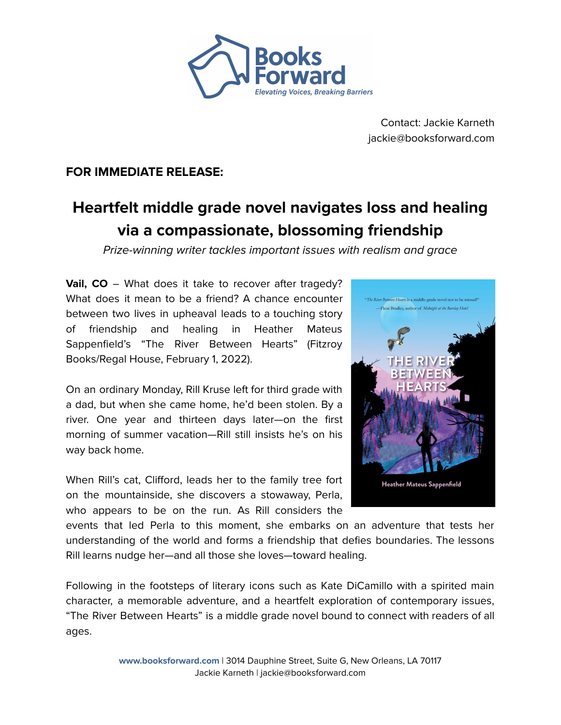

Contact: Jackie Karneth jackie@booksforward.com

# **FOR IMMEDIATE RELEASE:**

# **Heartfelt middle grade novel navigates loss and healing via a compassionate, blossoming friendship**

Prize-winning writer tackles important issues with realism and grace

**Vail, CO** – What does it take to recover after tragedy? What does it mean to be a friend? A chance encounter between two lives in upheaval leads to a touching story of friendship and healing in Heather Mateus Sappenfield's "The River Between Hearts" (Fitzroy Books/Regal House, February 1, 2022).

On an ordinary Monday, Rill Kruse left for third grade with a dad, but when she came home, he'd been stolen. By a river. One year and thirteen days later—on the first morning of summer vacation—Rill still insists he's on his way back home.

When Rill's cat, Clifford, leads her to the family tree fort on the mountainside, she discovers a stowaway, Perla, who appears to be on the run. As Rill considers the



events that led Perla to this moment, she embarks on an adventure that tests her understanding of the world and forms a friendship that defies boundaries. The lessons Rill learns nudge her—and all those she loves—toward healing.

Following in the footsteps of literary icons such as Kate DiCamillo with a spirited main character, a memorable adventure, and a heartfelt exploration of contemporary issues, "The River Between Hearts" is a middle grade novel bound to connect with readers of all ages.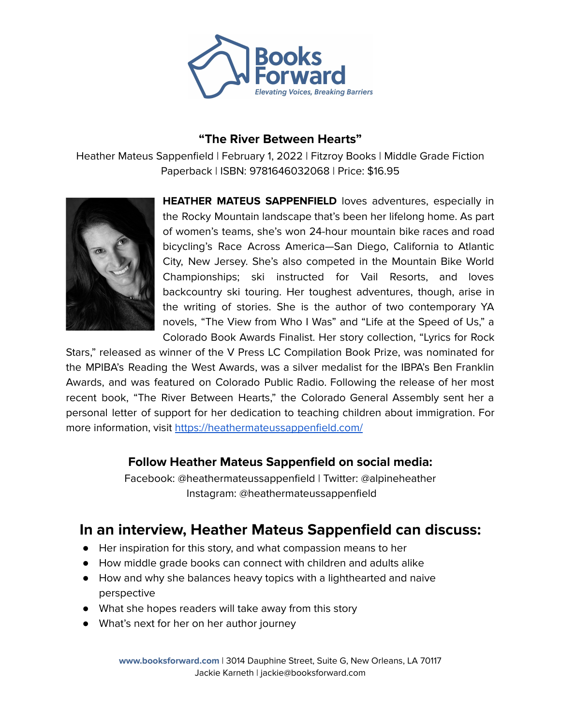

## **"The River Between Hearts"**

Heather Mateus Sappenfield | February 1, 2022 | Fitzroy Books | Middle Grade Fiction Paperback | ISBN: 9781646032068 | Price: \$16.95



**HEATHER MATEUS SAPPENFIELD** loves adventures, especially in the Rocky Mountain landscape that's been her lifelong home. As part of women's teams, she's won 24-hour mountain bike races and road bicycling's Race Across America—San Diego, California to Atlantic City, New Jersey. She's also competed in the Mountain Bike World Championships; ski instructed for Vail Resorts, and loves backcountry ski touring. Her toughest adventures, though, arise in the writing of stories. She is the author of two contemporary YA novels, "The View from Who I Was" and "Life at the Speed of Us," a Colorado Book Awards Finalist. Her story collection, "Lyrics for Rock

Stars," released as winner of the V Press LC Compilation Book Prize, was nominated for the MPIBA's Reading the West Awards, was a silver medalist for the IBPA's Ben Franklin Awards, and was featured on Colorado Public Radio. Following the release of her most recent book, "The River Between Hearts," the Colorado General Assembly sent her a personal letter of support for her dedication to teaching children about immigration. For more information, visit <https://heathermateussappenfield.com/>

# **Follow Heather Mateus Sappenfield on social media:**

Facebook: @heathermateussappenfield | Twitter: @alpineheather Instagram: @heathermateussappenfield

# **In an interview, Heather Mateus Sappenfield can discuss:**

- Her inspiration for this story, and what compassion means to her
- How middle grade books can connect with children and adults alike
- How and why she balances heavy topics with a lighthearted and naive perspective
- What she hopes readers will take away from this story
- What's next for her on her author journey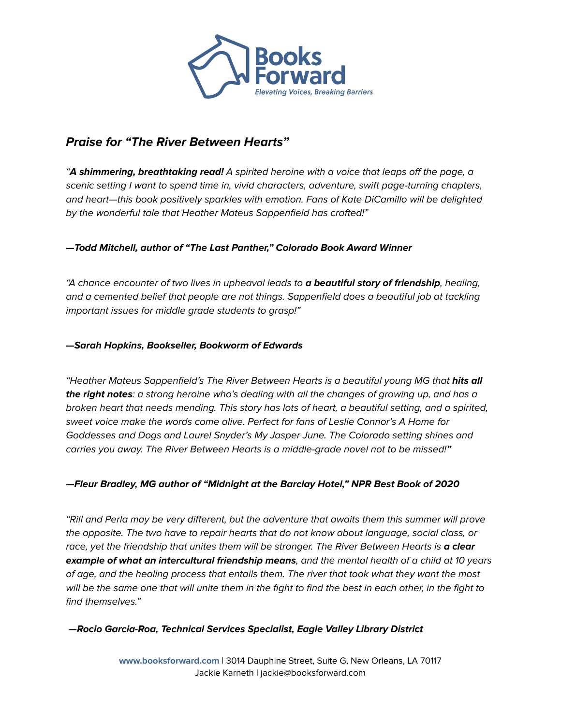

# **Praise for "The River Between Hearts"**

"**A shimmering, breathtaking read!** A spirited heroine with a voice that leaps off the page, a scenic setting I want to spend time in, vivid characters, adventure, swift page-turning chapters, and heart—this book positively sparkles with emotion. Fans of Kate DiCamillo will be delighted by the wonderful tale that Heather Mateus Sappenfield has crafted!"

#### **—Todd Mitchell, author of "The Last Panther," Colorado Book Award Winner**

"A chance encounter of two lives in upheaval leads to **a beautiful story of friendship**, healing, and a cemented belief that people are not things. Sappenfield does a beautiful job at tackling important issues for middle grade students to grasp!"

#### **—Sarah Hopkins, Bookseller, Bookworm of Edwards**

"Heather Mateus Sappenfield's The River Between Hearts is a beautiful young MG that **hits all the right notes**: a strong heroine who's dealing with all the changes of growing up, and has a broken heart that needs mending. This story has lots of heart, a beautiful setting, and a spirited, sweet voice make the words come alive. Perfect for fans of Leslie Connor's A Home for Goddesses and Dogs and Laurel Snyder's My Jasper June. The Colorado setting shines and carries you away. The River Between Hearts is a middle-grade novel not to be missed!**"**

#### **—Fleur Bradley, MG author of "Midnight at the Barclay Hotel," NPR Best Book of 2020**

"Rill and Perla may be very different, but the adventure that awaits them this summer will prove the opposite. The two have to repair hearts that do not know about language, social class, or race, yet the friendship that unites them will be stronger. The River Between Hearts is **a clear example of what an intercultural friendship means**, and the mental health of a child at 10 years of age, and the healing process that entails them. The river that took what they want the most will be the same one that will unite them in the fight to find the best in each other, in the fight to find themselves."

#### **—Rocio Garcia-Roa, Technical Services Specialist, Eagle Valley Library District**

**www.booksforward.com** | 3014 Dauphine Street, Suite G, New Orleans, LA 70117 Jackie Karneth | jackie@booksforward.com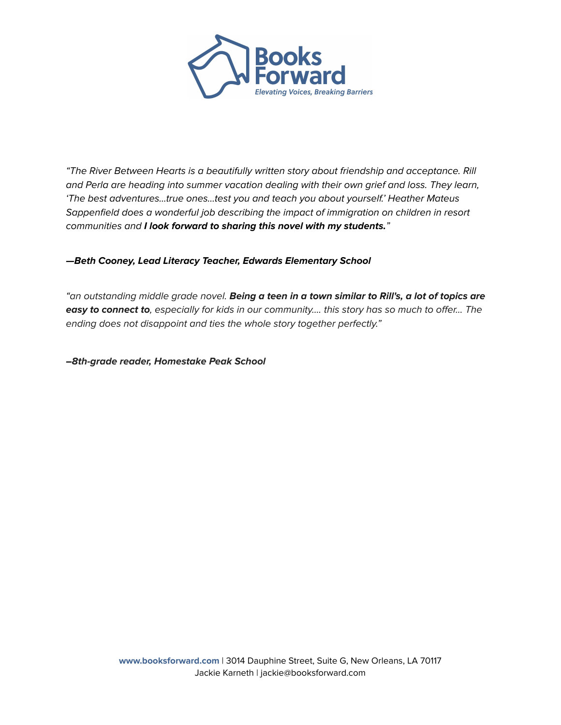

"The River Between Hearts is a beautifully written story about friendship and acceptance. Rill and Perla are heading into summer vacation dealing with their own grief and loss. They learn, 'The best adventures…true ones…test you and teach you about yourself.' Heather Mateus Sappenfield does a wonderful job describing the impact of immigration on children in resort communities and **I look forward to sharing this novel with my students.**"

#### **—Beth Cooney, Lead Literacy Teacher, Edwards Elementary School**

"an outstanding middle grade novel. **Being a teen in a town similar to Rill's, a lot of topics are easy to connect to**, especially for kids in our community…. this story has so much to offer… The ending does not disappoint and ties the whole story together perfectly."

**–8th-grade reader, Homestake Peak School**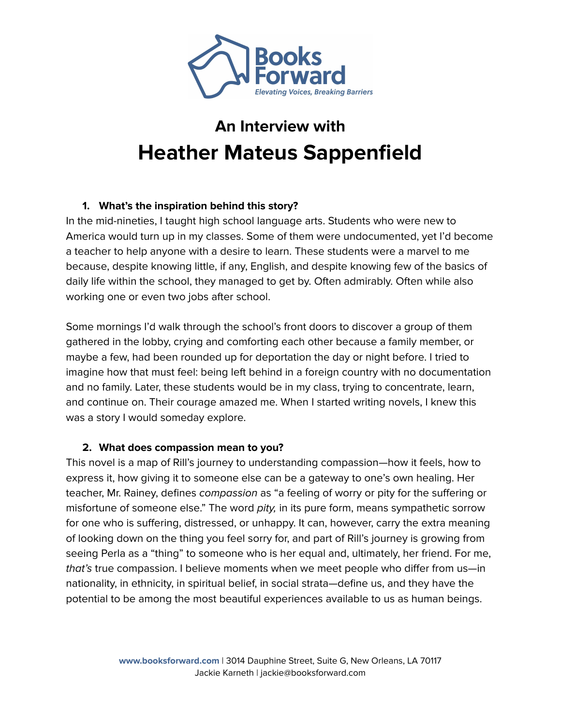

# **An Interview with Heather Mateus Sappenfield**

### **1. What's the inspiration behind this story?**

In the mid-nineties, I taught high school language arts. Students who were new to America would turn up in my classes. Some of them were undocumented, yet I'd become a teacher to help anyone with a desire to learn. These students were a marvel to me because, despite knowing little, if any, English, and despite knowing few of the basics of daily life within the school, they managed to get by. Often admirably. Often while also working one or even two jobs after school.

Some mornings I'd walk through the school's front doors to discover a group of them gathered in the lobby, crying and comforting each other because a family member, or maybe a few, had been rounded up for deportation the day or night before. I tried to imagine how that must feel: being left behind in a foreign country with no documentation and no family. Later, these students would be in my class, trying to concentrate, learn, and continue on. Their courage amazed me. When I started writing novels, I knew this was a story I would someday explore.

#### **2. What does compassion mean to you?**

This novel is a map of Rill's journey to understanding compassion—how it feels, how to express it, how giving it to someone else can be a gateway to one's own healing. Her teacher, Mr. Rainey, defines compassion as "a feeling of worry or pity for the suffering or misfortune of someone else." The word pity, in its pure form, means sympathetic sorrow for one who is suffering, distressed, or unhappy. It can, however, carry the extra meaning of looking down on the thing you feel sorry for, and part of Rill's journey is growing from seeing Perla as a "thing" to someone who is her equal and, ultimately, her friend. For me, that's true compassion. I believe moments when we meet people who differ from us—in nationality, in ethnicity, in spiritual belief, in social strata—define us, and they have the potential to be among the most beautiful experiences available to us as human beings.